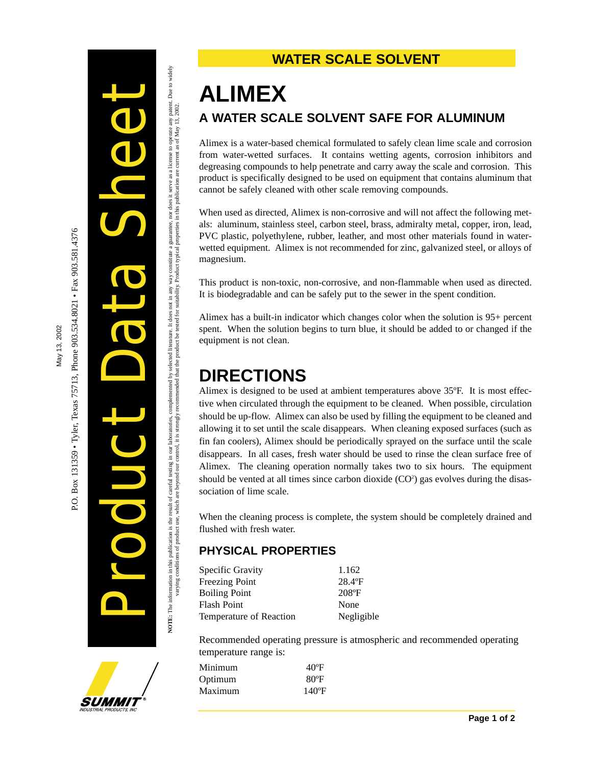# **ALIMEX A WATER SCALE SOLVENT SAFE FOR ALUMINUM**

Alimex is a water-based chemical formulated to safely clean lime scale and corrosion from water-wetted surfaces. It contains wetting agents, corrosion inhibitors and degreasing compounds to help penetrate and carry away the scale and corrosion. This product is specifically designed to be used on equipment that contains aluminum that cannot be safely cleaned with other scale removing compounds.

When used as directed, Alimex is non-corrosive and will not affect the following metals: aluminum, stainless steel, carbon steel, brass, admiralty metal, copper, iron, lead, PVC plastic, polyethylene, rubber, leather, and most other materials found in waterwetted equipment. Alimex is not recommended for zinc, galvanized steel, or alloys of magnesium.

This product is non-toxic, non-corrosive, and non-flammable when used as directed. It is biodegradable and can be safely put to the sewer in the spent condition.

Alimex has a built-in indicator which changes color when the solution is 95+ percent spent. When the solution begins to turn blue, it should be added to or changed if the equipment is not clean.

## **DIRECTIONS**

Alimex is designed to be used at ambient temperatures above 35ºF. It is most effective when circulated through the equipment to be cleaned. When possible, circulation should be up-flow. Alimex can also be used by filling the equipment to be cleaned and allowing it to set until the scale disappears. When cleaning exposed surfaces (such as fin fan coolers), Alimex should be periodically sprayed on the surface until the scale disappears. In all cases, fresh water should be used to rinse the clean surface free of Alimex. The cleaning operation normally takes two to six hours. The equipment should be vented at all times since carbon dioxide  $(CO<sup>2</sup>)$  gas evolves during the disassociation of lime scale.

When the cleaning process is complete, the system should be completely drained and flushed with fresh water.

#### **PHYSICAL PROPERTIES**

| Specific Gravity        | 1.162      |
|-------------------------|------------|
| <b>Freezing Point</b>   | 28.4°F     |
| <b>Boiling Point</b>    | 208°F      |
| <b>Flash Point</b>      | None       |
| Temperature of Reaction | Negligible |

Recommended operating pressure is atmospheric and recommended operating temperature range is:

| Minimum | $40^{\circ}$ F |
|---------|----------------|
| Optimum | $80^{\circ}$ F |
| Maximum | $140^{\circ}F$ |

20. Box 131359 • Tyler, Texas 75713, Phone 903.534.8021 • Fax 903.581.4376 Tyler, Texas 75713, Phone 903.534.8021 • Fax 903.581.4376 May 13, 2002 May 13, 2002 P.O. Box 131359 •

Product Data Sheet

NOTE: The information in this publication is the result of careful testing in our laborationes, complemented by selected literature. It does not in any way constitute a guarantee, nor does it serve as a license to operate varying conditions of product use, which are beyond our control, it is strongly recommended that the product be tested for suitability. Product typical properties in this publication are current as of May 13, 2002.

NOTE: The information in this publication is the result of careful testing in our laboratories, complemented by selected literature. It does not in any way constitute a guarantee, nor does it serve as a license to operate